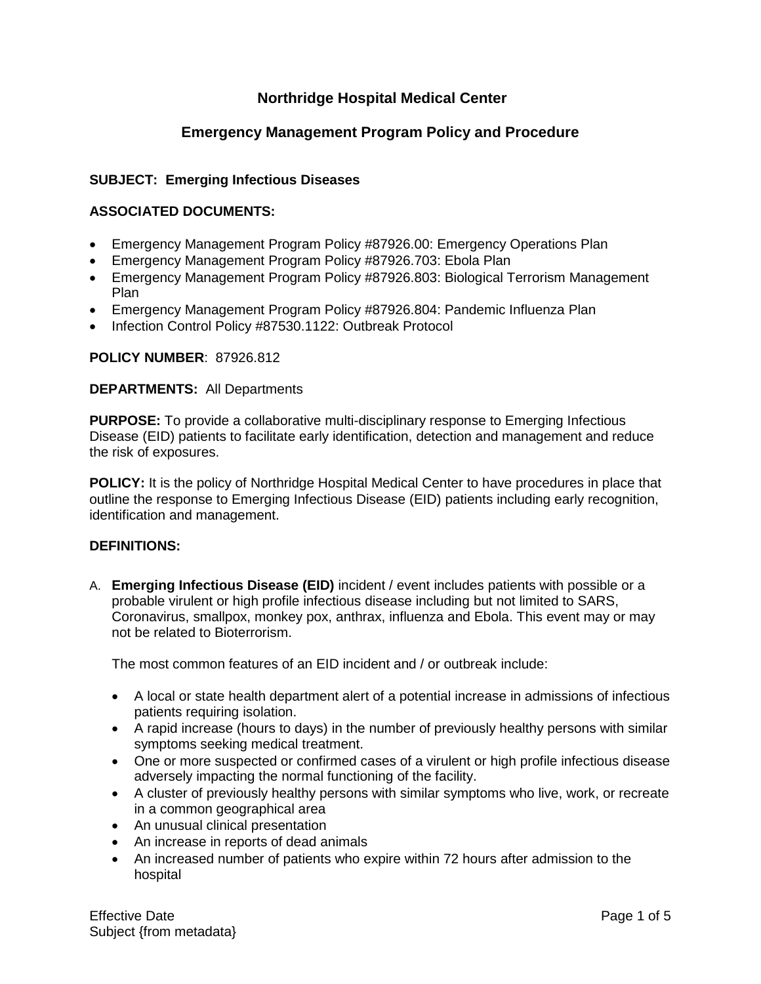# **Northridge Hospital Medical Center**

## **Emergency Management Program Policy and Procedure**

## **SUBJECT: Emerging Infectious Diseases**

### **ASSOCIATED DOCUMENTS:**

- Emergency Management Program Policy #87926.00: Emergency Operations Plan
- Emergency Management Program Policy #87926.703: Ebola Plan
- Emergency Management Program Policy #87926.803: Biological Terrorism Management Plan
- Emergency Management Program Policy #87926.804: Pandemic Influenza Plan
- Infection Control Policy #87530.1122: Outbreak Protocol

#### **POLICY NUMBER**: 87926.812

#### **DEPARTMENTS:** All Departments

**PURPOSE:** To provide a collaborative multi-disciplinary response to Emerging Infectious Disease (EID) patients to facilitate early identification, detection and management and reduce the risk of exposures.

**POLICY:** It is the policy of Northridge Hospital Medical Center to have procedures in place that outline the response to Emerging Infectious Disease (EID) patients including early recognition, identification and management.

#### **DEFINITIONS:**

A. **Emerging Infectious Disease (EID)** incident / event includes patients with possible or a probable virulent or high profile infectious disease including but not limited to SARS, Coronavirus, smallpox, monkey pox, anthrax, influenza and Ebola. This event may or may not be related to Bioterrorism.

The most common features of an EID incident and / or outbreak include:

- A local or state health department alert of a potential increase in admissions of infectious patients requiring isolation.
- A rapid increase (hours to days) in the number of previously healthy persons with similar symptoms seeking medical treatment.
- One or more suspected or confirmed cases of a virulent or high profile infectious disease adversely impacting the normal functioning of the facility.
- A cluster of previously healthy persons with similar symptoms who live, work, or recreate in a common geographical area
- An unusual clinical presentation
- An increase in reports of dead animals
- An increased number of patients who expire within 72 hours after admission to the hospital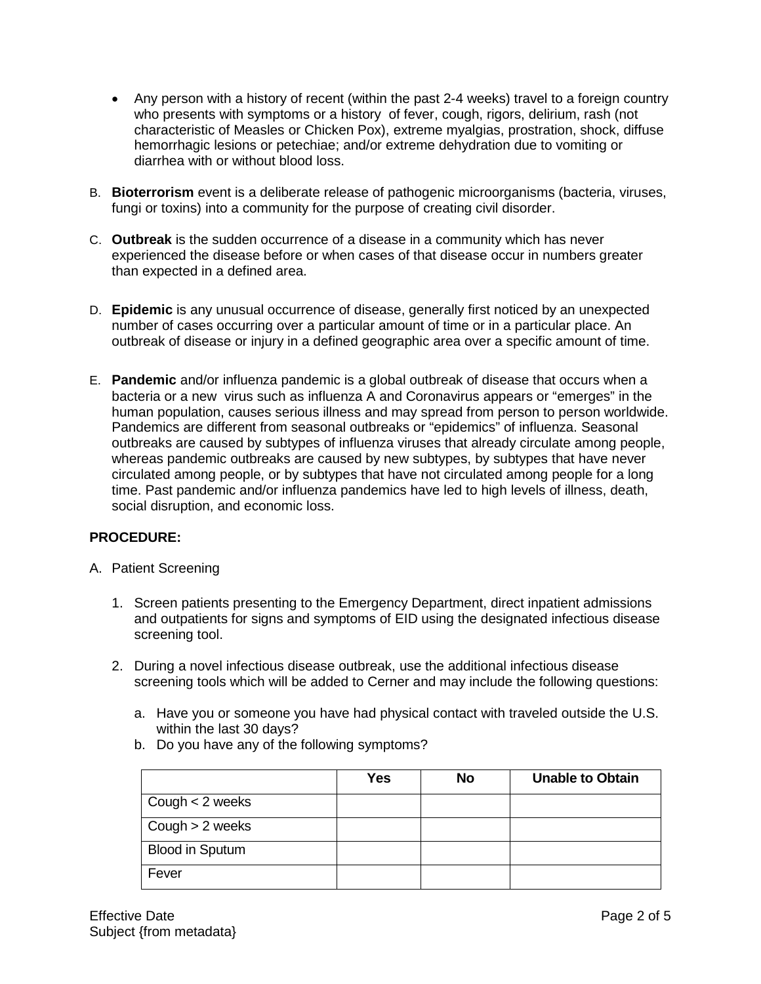- Any person with a history of recent (within the past 2-4 weeks) travel to a foreign country who presents with symptoms or a history of fever, cough, rigors, delirium, rash (not characteristic of Measles or Chicken Pox), extreme myalgias, prostration, shock, diffuse hemorrhagic lesions or petechiae; and/or extreme dehydration due to vomiting or diarrhea with or without blood loss.
- B. **Bioterrorism** event is a deliberate release of pathogenic microorganisms (bacteria, viruses, fungi or toxins) into a community for the purpose of creating civil disorder.
- C. **Outbreak** is the sudden occurrence of a disease in a community which has never experienced the disease before or when cases of that disease occur in numbers greater than expected in a defined area.
- D. **Epidemic** is any unusual occurrence of disease, generally first noticed by an unexpected number of cases occurring over a particular amount of time or in a particular place. An outbreak of disease or injury in a defined geographic area over a specific amount of time.
- E. **Pandemic** and/or influenza pandemic is a global outbreak of disease that occurs when a bacteria or a new virus such as influenza A and Coronavirus appears or "emerges" in the human population, causes serious illness and may spread from person to person worldwide. Pandemics are different from seasonal outbreaks or "epidemics" of influenza. Seasonal outbreaks are caused by subtypes of influenza viruses that already circulate among people, whereas pandemic outbreaks are caused by new subtypes, by subtypes that have never circulated among people, or by subtypes that have not circulated among people for a long time. Past pandemic and/or influenza pandemics have led to high levels of illness, death, social disruption, and economic loss.

## **PROCEDURE:**

- A. Patient Screening
	- 1. Screen patients presenting to the Emergency Department, direct inpatient admissions and outpatients for signs and symptoms of EID using the designated infectious disease screening tool.
	- 2. During a novel infectious disease outbreak, use the additional infectious disease screening tools which will be added to Cerner and may include the following questions:
		- a. Have you or someone you have had physical contact with traveled outside the U.S. within the last 30 days?
		- b. Do you have any of the following symptoms?

|                        | <b>Yes</b> | <b>No</b> | <b>Unable to Obtain</b> |
|------------------------|------------|-----------|-------------------------|
| Cough $<$ 2 weeks      |            |           |                         |
| Cough $> 2$ weeks      |            |           |                         |
| <b>Blood in Sputum</b> |            |           |                         |
| Fever                  |            |           |                         |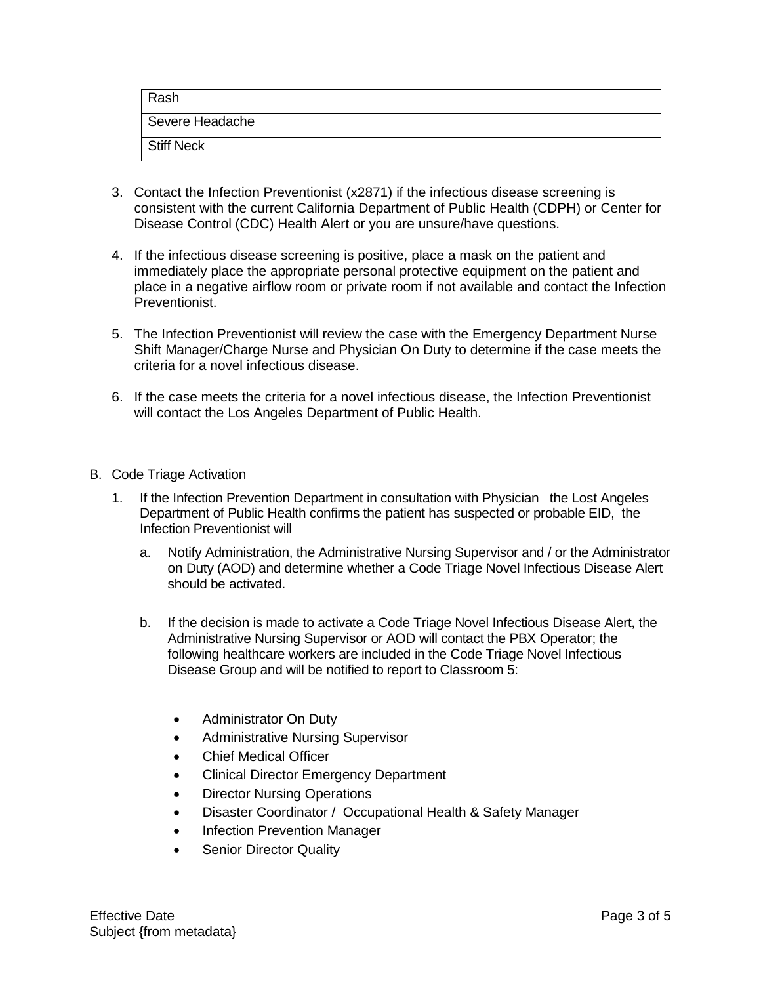| Rash            |  |  |
|-----------------|--|--|
| Severe Headache |  |  |
| Stiff Neck      |  |  |

- 3. Contact the Infection Preventionist (x2871) if the infectious disease screening is consistent with the current California Department of Public Health (CDPH) or Center for Disease Control (CDC) Health Alert or you are unsure/have questions.
- 4. If the infectious disease screening is positive, place a mask on the patient and immediately place the appropriate personal protective equipment on the patient and place in a negative airflow room or private room if not available and contact the Infection Preventionist.
- 5. The Infection Preventionist will review the case with the Emergency Department Nurse Shift Manager/Charge Nurse and Physician On Duty to determine if the case meets the criteria for a novel infectious disease.
- 6. If the case meets the criteria for a novel infectious disease, the Infection Preventionist will contact the Los Angeles Department of Public Health.
- B. Code Triage Activation
	- 1. If the Infection Prevention Department in consultation with Physician the Lost Angeles Department of Public Health confirms the patient has suspected or probable EID, the Infection Preventionist will
		- a. Notify Administration, the Administrative Nursing Supervisor and / or the Administrator on Duty (AOD) and determine whether a Code Triage Novel Infectious Disease Alert should be activated.
		- b. If the decision is made to activate a Code Triage Novel Infectious Disease Alert, the Administrative Nursing Supervisor or AOD will contact the PBX Operator; the following healthcare workers are included in the Code Triage Novel Infectious Disease Group and will be notified to report to Classroom 5:
			- Administrator On Duty
			- Administrative Nursing Supervisor
			- Chief Medical Officer
			- Clinical Director Emergency Department
			- **Director Nursing Operations**
			- Disaster Coordinator / Occupational Health & Safety Manager
			- Infection Prevention Manager
			- Senior Director Quality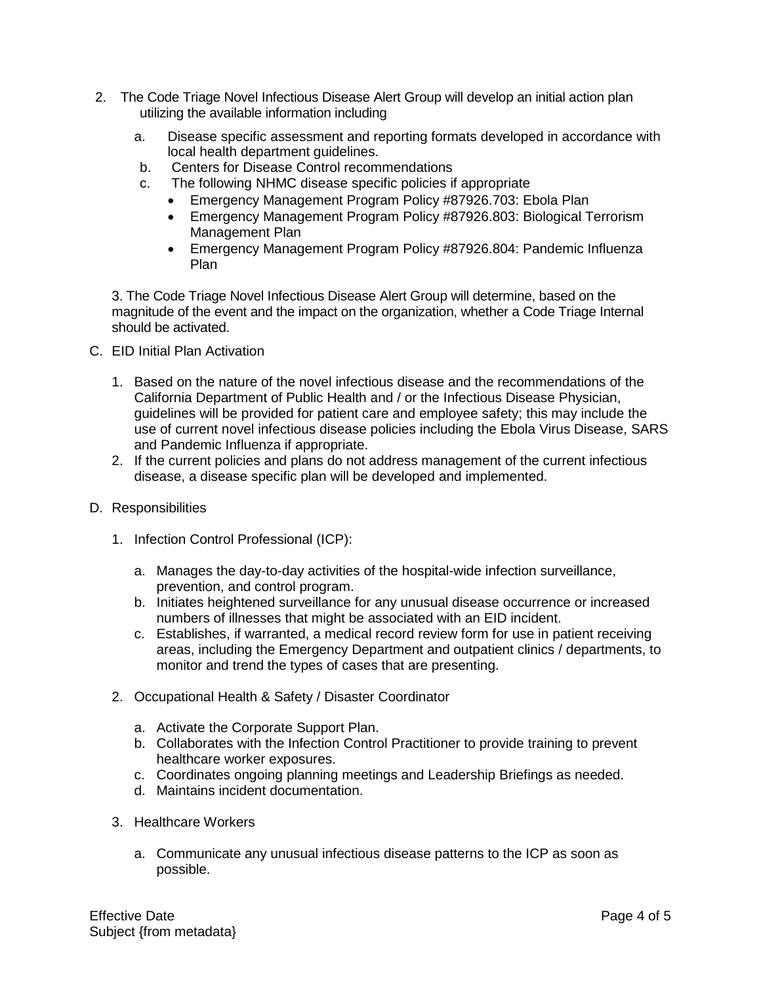- 2. The Code Triage Novel Infectious Disease Alert Group will develop an initial action plan utilizing the available information including
	- a. Disease specific assessment and reporting formats developed in accordance with local health department guidelines.
	- b. Centers for Disease Control recommendations
	- c. The following NHMC disease specific policies if appropriate
		- Emergency Management Program Policy #87926.703: Ebola Plan
		- Emergency Management Program Policy #87926.803: Biological Terrorism Management Plan
		- Emergency Management Program Policy #87926.804: Pandemic Influenza Plan

3. The Code Triage Novel Infectious Disease Alert Group will determine, based on the magnitude of the event and the impact on the organization, whether a Code Triage Internal should be activated.

- C. EID Initial Plan Activation
	- 1. Based on the nature of the novel infectious disease and the recommendations of the California Department of Public Health and / or the Infectious Disease Physician, guidelines will be provided for patient care and employee safety; this may include the use of current novel infectious disease policies including the Ebola Virus Disease, SARS and Pandemic Influenza if appropriate.
	- 2. If the current policies and plans do not address management of the current infectious disease, a disease specific plan will be developed and implemented.
- D. Responsibilities
	- 1. Infection Control Professional (ICP):
		- a. Manages the day-to-day activities of the hospital-wide infection surveillance, prevention, and control program.
		- b. Initiates heightened surveillance for any unusual disease occurrence or increased numbers of illnesses that might be associated with an EID incident.
		- c. Establishes, if warranted, a medical record review form for use in patient receiving areas, including the Emergency Department and outpatient clinics / departments, to monitor and trend the types of cases that are presenting.
	- 2. Occupational Health & Safety / Disaster Coordinator
		- a. Activate the Corporate Support Plan.
		- b. Collaborates with the Infection Control Practitioner to provide training to prevent healthcare worker exposures.
		- c. Coordinates ongoing planning meetings and Leadership Briefings as needed.
		- d. Maintains incident documentation.
	- 3. Healthcare Workers
		- a. Communicate any unusual infectious disease patterns to the ICP as soon as possible.